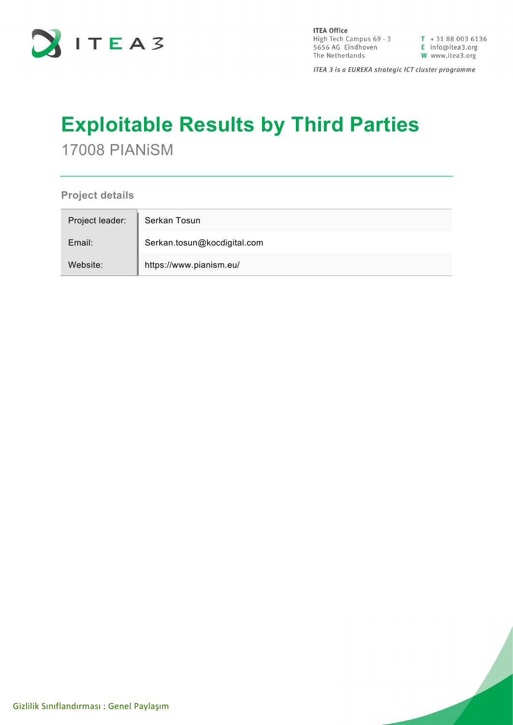

**ITEA Office** High Tech Campus  $69 - 3$ <br>  $\overline{1} + 31880036136$ <br>  $\overline{5656}$  AG Eindhoven<br>  $\overline{1}$  Info@itea3.org<br>
The Netherlands<br>  $\overline{1}$  W www.itea3.org The Netherlands

W www.itea3.org

ITEA 3 is a EUREKA strategic ICT cluster programme

## **Exploitable Results by Third Parties**

17008 PIANiSM

**Project details**

| Project leader: | Serkan Tosun                |
|-----------------|-----------------------------|
| Email:          | Serkan.tosun@kocdigital.com |
| Website:        | https://www.pianism.eu/     |

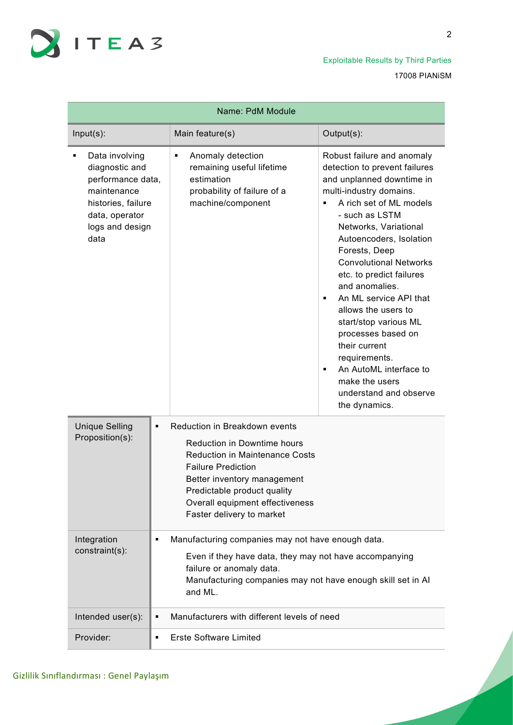

Exploitable Results by Third Parties 17008 PIANiSM

| Name: PdM Module                                                                                                                        |                                                                                                                                                                                                                                                                  |                                                                                                                                                                                                                                                                                                                                                                                                                                                                                                                                                              |  |
|-----------------------------------------------------------------------------------------------------------------------------------------|------------------------------------------------------------------------------------------------------------------------------------------------------------------------------------------------------------------------------------------------------------------|--------------------------------------------------------------------------------------------------------------------------------------------------------------------------------------------------------------------------------------------------------------------------------------------------------------------------------------------------------------------------------------------------------------------------------------------------------------------------------------------------------------------------------------------------------------|--|
| $Input(s)$ :                                                                                                                            | Main feature(s)                                                                                                                                                                                                                                                  | Output(s):                                                                                                                                                                                                                                                                                                                                                                                                                                                                                                                                                   |  |
| Data involving<br>diagnostic and<br>performance data,<br>maintenance<br>histories, failure<br>data, operator<br>logs and design<br>data | Anomaly detection<br>٠<br>remaining useful lifetime<br>estimation<br>probability of failure of a<br>machine/component                                                                                                                                            | Robust failure and anomaly<br>detection to prevent failures<br>and unplanned downtime in<br>multi-industry domains.<br>A rich set of ML models<br>٠<br>- such as LSTM<br>Networks, Variational<br>Autoencoders, Isolation<br>Forests, Deep<br><b>Convolutional Networks</b><br>etc. to predict failures<br>and anomalies.<br>An ML service API that<br>٠<br>allows the users to<br>start/stop various ML<br>processes based on<br>their current<br>requirements.<br>An AutoML interface to<br>٠<br>make the users<br>understand and observe<br>the dynamics. |  |
| <b>Unique Selling</b><br>٠<br>Proposition(s):                                                                                           | Reduction in Breakdown events<br>Reduction in Downtime hours<br><b>Reduction in Maintenance Costs</b><br><b>Failure Prediction</b><br>Better inventory management<br>Predictable product quality<br>Overall equipment effectiveness<br>Faster delivery to market |                                                                                                                                                                                                                                                                                                                                                                                                                                                                                                                                                              |  |
| Integration<br>٠<br>constraint(s):                                                                                                      | Manufacturing companies may not have enough data.<br>Even if they have data, they may not have accompanying<br>failure or anomaly data.<br>Manufacturing companies may not have enough skill set in Al<br>and ML.                                                |                                                                                                                                                                                                                                                                                                                                                                                                                                                                                                                                                              |  |
| Intended user(s):<br>٠                                                                                                                  | Manufacturers with different levels of need                                                                                                                                                                                                                      |                                                                                                                                                                                                                                                                                                                                                                                                                                                                                                                                                              |  |
| Provider:<br>٠                                                                                                                          | Erste Software Limited                                                                                                                                                                                                                                           |                                                                                                                                                                                                                                                                                                                                                                                                                                                                                                                                                              |  |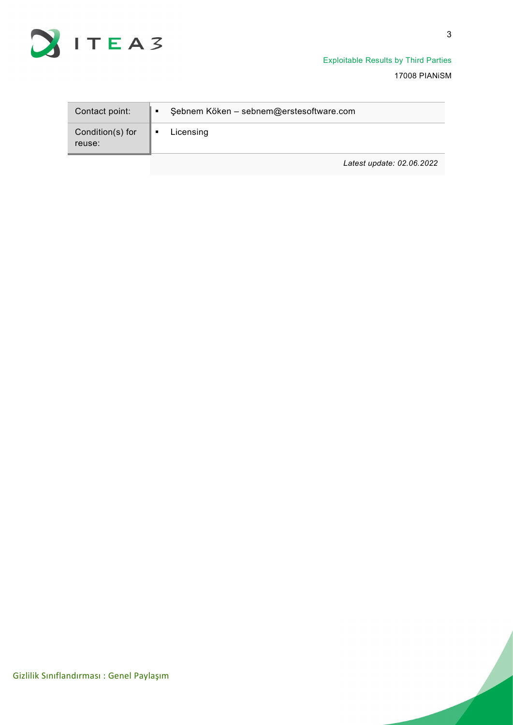

Exploitable Results by Third Parties 17008 PIANiSM

| Contact point:             | Şebnem Köken - sebnem@erstesoftware.com |  |
|----------------------------|-----------------------------------------|--|
| Condition(s) for<br>reuse: | Licensing                               |  |
|                            | Latest update: 02.06.2022               |  |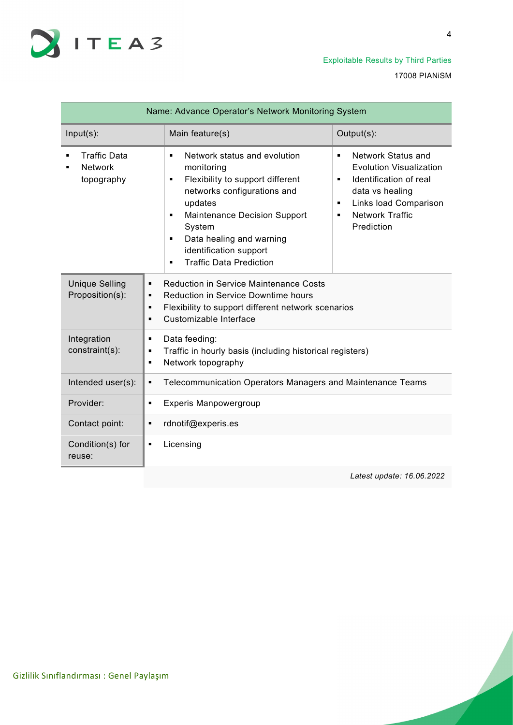

17008 PIANiSM

| Name: Advance Operator's Network Monitoring System  |                                                                                                                                                                                                                                                                                                                                                                                                                                                                                                                                                                                 |  |
|-----------------------------------------------------|---------------------------------------------------------------------------------------------------------------------------------------------------------------------------------------------------------------------------------------------------------------------------------------------------------------------------------------------------------------------------------------------------------------------------------------------------------------------------------------------------------------------------------------------------------------------------------|--|
| $Input(s)$ :                                        | Output(s):<br>Main feature(s)                                                                                                                                                                                                                                                                                                                                                                                                                                                                                                                                                   |  |
| <b>Traffic Data</b><br><b>Network</b><br>topography | Network status and evolution<br>Network Status and<br>$\blacksquare$<br>$\blacksquare$<br><b>Evolution Visualization</b><br>monitoring<br>Identification of real<br>Flexibility to support different<br>$\blacksquare$<br>$\blacksquare$<br>networks configurations and<br>data vs healing<br>updates<br>Links load Comparison<br>$\blacksquare$<br><b>Network Traffic</b><br><b>Maintenance Decision Support</b><br>٠<br>٠<br>Prediction<br>System<br>Data healing and warning<br>$\blacksquare$<br>identification support<br><b>Traffic Data Prediction</b><br>$\blacksquare$ |  |
| <b>Unique Selling</b><br>Proposition(s):            | <b>Reduction in Service Maintenance Costs</b><br>$\blacksquare$<br><b>Reduction in Service Downtime hours</b><br>$\blacksquare$<br>Flexibility to support different network scenarios<br>$\blacksquare$<br>Customizable Interface<br>$\blacksquare$                                                                                                                                                                                                                                                                                                                             |  |
| Integration<br>constraint(s):                       | Data feeding:<br>٠<br>Traffic in hourly basis (including historical registers)<br>٠<br>Network topography<br>٠                                                                                                                                                                                                                                                                                                                                                                                                                                                                  |  |
| Intended user(s):                                   | Telecommunication Operators Managers and Maintenance Teams<br>٠                                                                                                                                                                                                                                                                                                                                                                                                                                                                                                                 |  |
| Provider:                                           | <b>Experis Manpowergroup</b><br>$\blacksquare$                                                                                                                                                                                                                                                                                                                                                                                                                                                                                                                                  |  |
| Contact point:                                      | rdnotif@experis.es<br>$\blacksquare$                                                                                                                                                                                                                                                                                                                                                                                                                                                                                                                                            |  |
| Condition(s) for<br>reuse:                          | Licensing<br>$\blacksquare$                                                                                                                                                                                                                                                                                                                                                                                                                                                                                                                                                     |  |

*Latest update: 16.06.2022*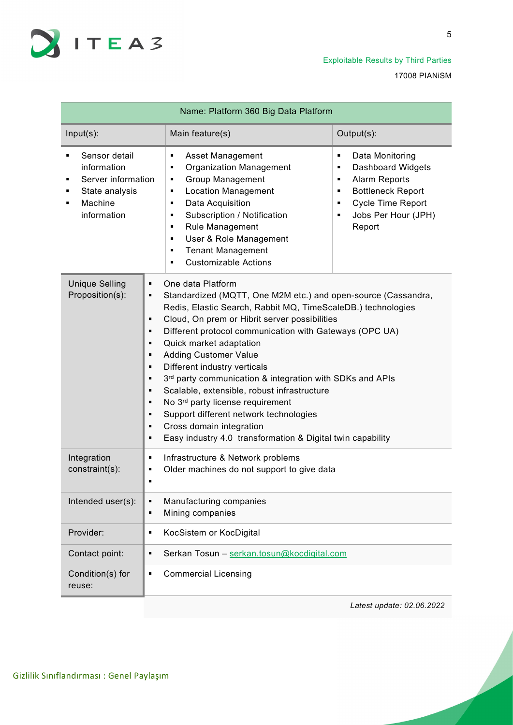

5

| Name: Platform 360 Big Data Platform                                                                     |                                                                                                                                                                                                                                                                                                                                                                                                                                                                                                                                                                                                                                                                                                                           |                                                                                                                                                                              |  |
|----------------------------------------------------------------------------------------------------------|---------------------------------------------------------------------------------------------------------------------------------------------------------------------------------------------------------------------------------------------------------------------------------------------------------------------------------------------------------------------------------------------------------------------------------------------------------------------------------------------------------------------------------------------------------------------------------------------------------------------------------------------------------------------------------------------------------------------------|------------------------------------------------------------------------------------------------------------------------------------------------------------------------------|--|
| $Input(s)$ :                                                                                             | Main feature(s)                                                                                                                                                                                                                                                                                                                                                                                                                                                                                                                                                                                                                                                                                                           | Output(s):                                                                                                                                                                   |  |
| Sensor detail<br>information<br>Server information<br>٠<br>State analysis<br>٠<br>Machine<br>information | <b>Asset Management</b><br>٠<br><b>Organization Management</b><br>٠<br><b>Group Management</b><br>٠<br><b>Location Management</b><br>٠<br>Data Acquisition<br>٠<br>Subscription / Notification<br>٠<br>Rule Management<br>٠<br>User & Role Management<br>٠<br><b>Tenant Management</b><br>٠<br><b>Customizable Actions</b><br>٠                                                                                                                                                                                                                                                                                                                                                                                           | Data Monitoring<br>٠<br><b>Dashboard Widgets</b><br>٠<br>Alarm Reports<br>٠<br><b>Bottleneck Report</b><br>٠<br>Cycle Time Report<br>٠<br>Jobs Per Hour (JPH)<br>٠<br>Report |  |
| <b>Unique Selling</b><br>Proposition(s):                                                                 | One data Platform<br>٠<br>Standardized (MQTT, One M2M etc.) and open-source (Cassandra,<br>٠<br>Redis, Elastic Search, Rabbit MQ, TimeScaleDB.) technologies<br>Cloud, On prem or Hibrit server possibilities<br>٠<br>Different protocol communication with Gateways (OPC UA)<br>٠<br>Quick market adaptation<br>٠<br><b>Adding Customer Value</b><br>٠<br>Different industry verticals<br>٠<br>3rd party communication & integration with SDKs and APIs<br>٠<br>Scalable, extensible, robust infrastructure<br>٠<br>No 3 <sup>rd</sup> party license requirement<br>٠<br>Support different network technologies<br>٠<br>Cross domain integration<br>٠<br>Easy industry 4.0 transformation & Digital twin capability<br>٠ |                                                                                                                                                                              |  |
| Integration<br>constraint(s):                                                                            | Infrastructure & Network problems<br>٠<br>Older machines do not support to give data<br>٠<br>٠                                                                                                                                                                                                                                                                                                                                                                                                                                                                                                                                                                                                                            |                                                                                                                                                                              |  |
| Intended user(s):                                                                                        | Manufacturing companies<br>٠<br>Mining companies<br>٠                                                                                                                                                                                                                                                                                                                                                                                                                                                                                                                                                                                                                                                                     |                                                                                                                                                                              |  |
| Provider:                                                                                                | KocSistem or KocDigital<br>٠                                                                                                                                                                                                                                                                                                                                                                                                                                                                                                                                                                                                                                                                                              |                                                                                                                                                                              |  |
| Contact point:                                                                                           | Serkan Tosun - serkan.tosun@kocdigital.com<br>٠                                                                                                                                                                                                                                                                                                                                                                                                                                                                                                                                                                                                                                                                           |                                                                                                                                                                              |  |
| Condition(s) for<br>reuse:                                                                               | <b>Commercial Licensing</b><br>٠                                                                                                                                                                                                                                                                                                                                                                                                                                                                                                                                                                                                                                                                                          |                                                                                                                                                                              |  |

*Latest update: 02.06.2022*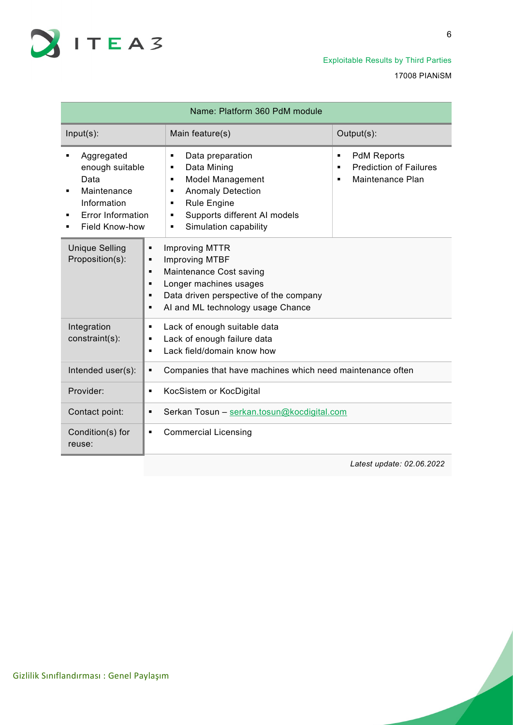

| Name: Platform 360 PdM module                                                                                                      |                                                                                                                                                                                                                                                                                                                 |  |
|------------------------------------------------------------------------------------------------------------------------------------|-----------------------------------------------------------------------------------------------------------------------------------------------------------------------------------------------------------------------------------------------------------------------------------------------------------------|--|
| $Input(s)$ :                                                                                                                       | Output(s):<br>Main feature(s)                                                                                                                                                                                                                                                                                   |  |
| Aggregated<br>٠<br>enough suitable<br>Data<br>Maintenance<br>Information<br><b>Error Information</b><br>٠<br><b>Field Know-how</b> | <b>PdM Reports</b><br>Data preparation<br>٠<br>$\blacksquare$<br><b>Prediction of Failures</b><br>Data Mining<br>٠<br>٠<br><b>Model Management</b><br>Maintenance Plan<br>٠<br>٠<br><b>Anomaly Detection</b><br>٠<br><b>Rule Engine</b><br>٠<br>Supports different AI models<br>٠<br>Simulation capability<br>٠ |  |
| <b>Unique Selling</b><br>Proposition(s):                                                                                           | <b>Improving MTTR</b><br>×,<br><b>Improving MTBF</b><br>٠<br>Maintenance Cost saving<br>٠<br>Longer machines usages<br>٠<br>Data driven perspective of the company<br>AI and ML technology usage Chance<br>٠                                                                                                    |  |
| Integration<br>constraint(s):                                                                                                      | Lack of enough suitable data<br>٠<br>Lack of enough failure data<br>٠<br>Lack field/domain know how<br>$\blacksquare$                                                                                                                                                                                           |  |
| Intended user(s):                                                                                                                  | Companies that have machines which need maintenance often<br>٠                                                                                                                                                                                                                                                  |  |
| Provider:                                                                                                                          | KocSistem or KocDigital<br>٠                                                                                                                                                                                                                                                                                    |  |
| Contact point:                                                                                                                     | Serkan Tosun - serkan.tosun@kocdigital.com<br>٠                                                                                                                                                                                                                                                                 |  |
| Condition(s) for<br>reuse:                                                                                                         | <b>Commercial Licensing</b><br>٠                                                                                                                                                                                                                                                                                |  |
|                                                                                                                                    | Latest update: 02.06.2022                                                                                                                                                                                                                                                                                       |  |

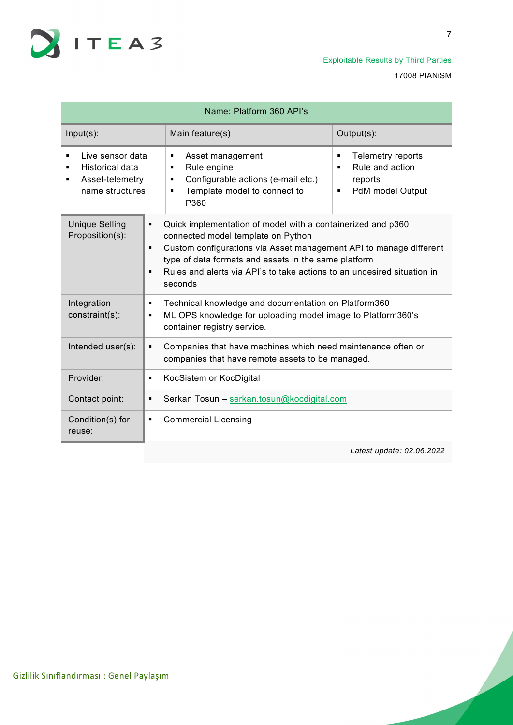

| Name: Platform 360 API's                                                              |                                                                                                                                                                                                                                                                                                                                                                             |                                                                               |  |
|---------------------------------------------------------------------------------------|-----------------------------------------------------------------------------------------------------------------------------------------------------------------------------------------------------------------------------------------------------------------------------------------------------------------------------------------------------------------------------|-------------------------------------------------------------------------------|--|
| $Input(s)$ :                                                                          | Main feature(s)                                                                                                                                                                                                                                                                                                                                                             | Output(s):                                                                    |  |
| Live sensor data<br><b>Historical data</b><br>Asset-telemetry<br>٠<br>name structures | Asset management<br>٠<br>Rule engine<br>٠<br>Configurable actions (e-mail etc.)<br>٠<br>Template model to connect to<br>٠<br>P360                                                                                                                                                                                                                                           | Telemetry reports<br>٠<br>Rule and action<br>reports<br>PdM model Output<br>٠ |  |
| <b>Unique Selling</b><br>Proposition(s):                                              | Quick implementation of model with a containerized and p360<br>$\blacksquare$<br>connected model template on Python<br>Custom configurations via Asset management API to manage different<br>$\blacksquare$<br>type of data formats and assets in the same platform<br>Rules and alerts via API's to take actions to an undesired situation in<br>$\blacksquare$<br>seconds |                                                                               |  |
| Integration<br>constraint(s):                                                         | Technical knowledge and documentation on Platform360<br>٠<br>ML OPS knowledge for uploading model image to Platform360's<br>٠<br>container registry service.                                                                                                                                                                                                                |                                                                               |  |
| Intended user(s):                                                                     | Companies that have machines which need maintenance often or<br>٠<br>companies that have remote assets to be managed.                                                                                                                                                                                                                                                       |                                                                               |  |
| Provider:                                                                             | KocSistem or KocDigital<br>٠                                                                                                                                                                                                                                                                                                                                                |                                                                               |  |
| Contact point:                                                                        | Serkan Tosun - serkan.tosun@kocdigital.com<br>٠                                                                                                                                                                                                                                                                                                                             |                                                                               |  |
| Condition(s) for<br>reuse:                                                            | <b>Commercial Licensing</b><br>٠                                                                                                                                                                                                                                                                                                                                            |                                                                               |  |

*Latest update: 02.06.2022*